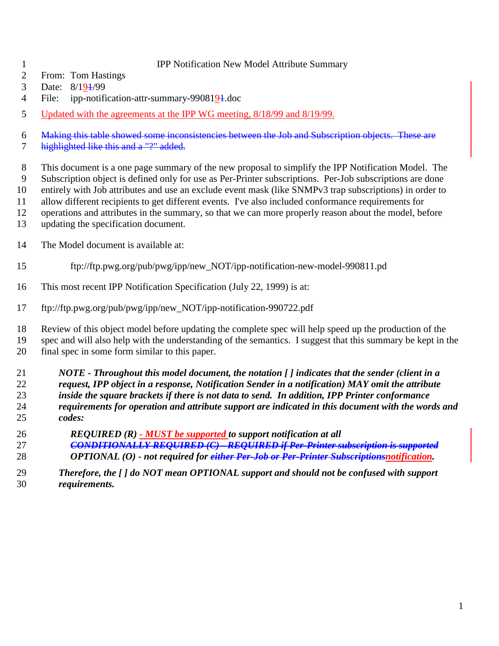#### IPP Notification New Model Attribute Summary

- From: Tom Hastings
- 3 Date:  $8/19\frac{1}{99}$
- 4 File: ipp-notification-attr-summary-9908194.doc
- 5 Updated with the agreements at the IPP WG meeting, 8/18/99 and 8/19/99.

Making this table showed some inconsistencies between the Job and Subscription objects. These are

7 highlighted like this and a "?" added.

This document is a one page summary of the new proposal to simplify the IPP Notification Model. The

- Subscription object is defined only for use as Per-Printer subscriptions. Per-Job subscriptions are done entirely with Job attributes and use an exclude event mask (like SNMPv3 trap subscriptions) in order to
- allow different recipients to get different events. I've also included conformance requirements for
- operations and attributes in the summary, so that we can more properly reason about the model, before
- updating the specification document.
- The Model document is available at:
- ftp://ftp.pwg.org/pub/pwg/ipp/new\_NOT/ipp-notification-new-model-990811.pd
- This most recent IPP Notification Specification (July 22, 1999) is at:
- ftp://ftp.pwg.org/pub/pwg/ipp/new\_NOT/ipp-notification-990722.pdf

 Review of this object model before updating the complete spec will help speed up the production of the spec and will also help with the understanding of the semantics. I suggest that this summary be kept in the final spec in some form similar to this paper.

 *NOTE - Throughout this model document, the notation [ ] indicates that the sender (client in a request, IPP object in a response, Notification Sender in a notification) MAY omit the attribute inside the square brackets if there is not data to send. In addition, IPP Printer conformance requirements for operation and attribute support are indicated in this document with the words and codes:*

- *REQUIRED (R) MUST be supported to support notification at all CONDITIONALLY REQUIRED (C) - REQUIRED if Per-Printer subscription is supported OPTIONAL (O) - not required for either Per-Job or Per-Printer Subscriptionsnotification.*
- *Therefore, the [ ] do NOT mean OPTIONAL support and should not be confused with support requirements.*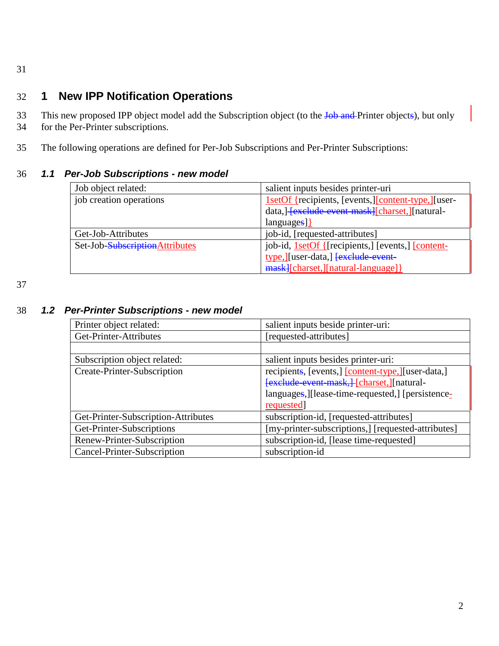31

## 32 **1 New IPP Notification Operations**

- 33 This new proposed IPP object model add the Subscription object (to the Job and Printer objects), but only
- 34 for the Per-Printer subscriptions.
- 35 The following operations are defined for Per-Job Subscriptions and Per-Printer Subscriptions:

### 36 *1.1 Per-Job Subscriptions - new model*

| Job object related:             | salient inputs besides printer-uri                   |
|---------------------------------|------------------------------------------------------|
| job creation operations         | 1setOf {recipients, [events,][content-type,][user-   |
|                                 | data,  - [exclude event mask][charset, ][natural-    |
|                                 | $language$ }                                         |
| Get-Job-Attributes              | job-id, [requested-attributes]                       |
| Set-Job-Subscription Attributes | job-id, 1setOf { [recipients, ] [events, ] [content- |
|                                 | type, J[user-data,] <del>[exclude event</del> -      |
|                                 | mask [charset, ] [natural-language] }                |

37

#### 38 *1.2 Per-Printer Subscriptions - new model*

| Printer object related:             | salient inputs beside printer-uri:                 |
|-------------------------------------|----------------------------------------------------|
| Get-Printer-Attributes              | [requested-attributes]                             |
|                                     |                                                    |
| Subscription object related:        | salient inputs besides printer-uri:                |
| Create-Printer-Subscription         | recipients, [events,] [content-type,] [user-data,] |
|                                     | [exclude event mask,] [charset,][natural-          |
|                                     | languages, [Ilease-time-requested,] [persistence-  |
|                                     | requested                                          |
| Get-Printer-Subscription-Attributes | subscription-id, [requested-attributes]            |
| Get-Printer-Subscriptions           | [my-printer-subscriptions,] [requested-attributes] |
| Renew-Printer-Subscription          | subscription-id, [lease time-requested]            |
| Cancel-Printer-Subscription         | subscription-id                                    |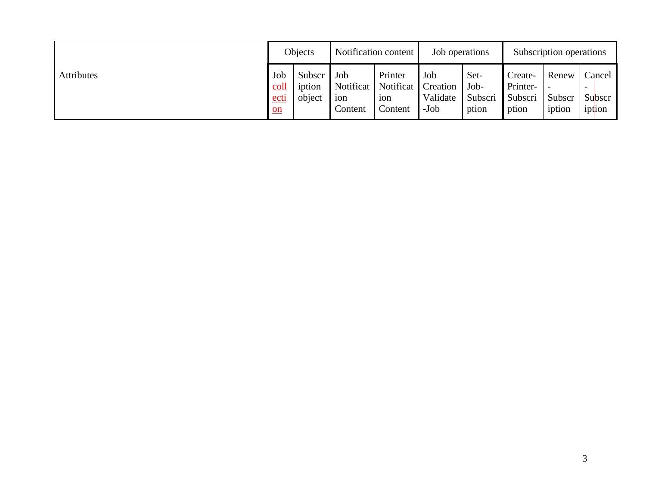|            |                                                            | Objects                    |                                                 | Notification content                                 | Job operations                      |                                  | Subscription operations                 |                           |                            |
|------------|------------------------------------------------------------|----------------------------|-------------------------------------------------|------------------------------------------------------|-------------------------------------|----------------------------------|-----------------------------------------|---------------------------|----------------------------|
| Attributes | Job<br>coll<br>ect <sub>1</sub><br>$\underline{\text{on}}$ | Subscr<br>iption<br>object | $\mathsf{I}$ Job<br>Notificat<br>10n<br>Content | Printer<br>Notificat  <br>10 <sub>n</sub><br>Content | Job<br>Creation<br>Validate<br>-Job | Set-<br>Job-<br>Subscri<br>ption | Create-<br>Printer-<br>Subscri<br>ption | Renew<br>Subscr<br>iption | Cancel<br>Subscr<br>iption |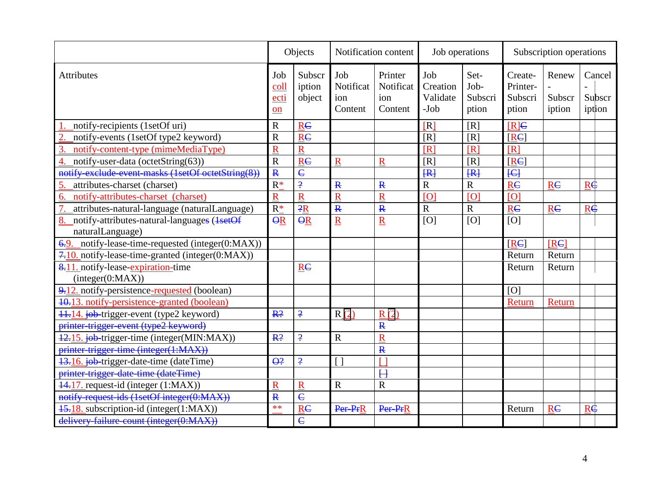|                                                                       | Objects                   |                            |                                    | Notification content                   | Job operations                        |                                  | Subscription operations                 |                           |                            |  |
|-----------------------------------------------------------------------|---------------------------|----------------------------|------------------------------------|----------------------------------------|---------------------------------------|----------------------------------|-----------------------------------------|---------------------------|----------------------------|--|
| <b>Attributes</b>                                                     | Job<br>coll<br>ecti<br>on | Subscr<br>iption<br>object | Job<br>Notificat<br>ion<br>Content | Printer<br>Notificat<br>ion<br>Content | Job<br>Creation<br>Validate<br>$-Job$ | Set-<br>Job-<br>Subscri<br>ption | Create-<br>Printer-<br>Subscri<br>ption | Renew<br>Subscr<br>iption | Cancel<br>Subscr<br>iption |  |
| notify-recipients (1setOf uri)                                        | $\mathbb{R}$              | <b>RC</b>                  |                                    |                                        | [R]                                   | [R]                              | $[R] \in$                               |                           |                            |  |
| notify-events (1setOf type2 keyword)                                  | $\overline{\text{R}}$     | <b>RC</b>                  |                                    |                                        | [R]                                   | [R]                              | [RE]                                    |                           |                            |  |
| notify-content-type (mimeMediaType)<br>3                              | $\overline{\text{R}}$     | $\mathbf R$                |                                    |                                        | [R]                                   | [R]                              | [R]                                     |                           |                            |  |
| notify-user-data (octetString(63))                                    | $\overline{R}$            | <b>RC</b>                  | $\mathbf R$                        | $\mathbf R$                            | [R]                                   | [R]                              | [RE]                                    |                           |                            |  |
| notify-exclude-event-masks (1setOf octetString(8))                    | $\overline{\mathbf{R}}$   | $\overline{\mathbf{c}}$    |                                    |                                        | H                                     | H                                | H                                       |                           |                            |  |
| attributes-charset (charset)                                          | $R*$                      | $\overline{.}$             | $\mathbf{R}$                       | $\mathbf{R}$                           | $\overline{R}$                        | $\mathbf R$                      | <b>RC</b>                               | <b>RC</b>                 | $R\dot{\bm{\phi}}$         |  |
| notify-attributes-charset (charset)<br>6.                             | Ŕ                         | $\overline{\mathsf{R}}$    | $\overline{\text{R}}$              | $\overline{\mathbf{R}}$                | [O]                                   | [O]                              | [O]                                     |                           |                            |  |
| attributes-natural-language (naturalLanguage)<br>7.                   | $R^*$                     | $\overline{R}$             | $\mathbf{R}$                       | $\mathbf{R}$                           | $\mathbf R$                           | $\mathbf R$                      | <b>RC</b>                               | <b>RC</b>                 | $R\ddot{\Phi}$             |  |
| 8.<br>notify-attributes-natural-languages (1setOf<br>naturalLanguage) | $\overline{\Theta}R$      | $\overline{\Theta}R$       | $\overline{\mathsf{R}}$            | $\overline{\mathbf{R}}$                | [O]                                   | [O]                              | [O]                                     |                           |                            |  |
| $6.9.$ notify-lease-time-requested (integer(0:MAX))                   |                           |                            |                                    |                                        |                                       |                                  | [RE]                                    | <b>IRE</b>                |                            |  |
| 7.10. notify-lease-time-granted (integer(0:MAX))                      |                           |                            |                                    |                                        |                                       |                                  | Return                                  | Return                    |                            |  |
| 8.11. notify-lease-expiration-time<br>(integer(0:MAX))                |                           | $\underline{R}C$           |                                    |                                        |                                       |                                  | Return                                  | Return                    |                            |  |
| 9.12. notify-persistence-requested (boolean)                          |                           |                            |                                    |                                        |                                       |                                  | [O]                                     |                           |                            |  |
| 40.13. notify-persistence-granted (boolean)                           |                           |                            |                                    |                                        |                                       |                                  | Return                                  | Return                    |                            |  |
| 11.14. job-trigger-event (type2 keyword)                              | R <sup>2</sup>            | $\overline{.}$             | R(2)                               | R(2)                                   |                                       |                                  |                                         |                           |                            |  |
| printer-trigger-event (type2 keyword)                                 |                           |                            |                                    | $\mathbf{R}$                           |                                       |                                  |                                         |                           |                            |  |
| 12.15. job-trigger-time (integer(MIN:MAX))                            | R <sup>2</sup>            | $\overline{.}$             | $\mathbf R$                        | $\overline{\mathbf{R}}$                |                                       |                                  |                                         |                           |                            |  |
| printer-trigger-time (integer(1:MAX))                                 |                           |                            |                                    | $\mathbf{R}$                           |                                       |                                  |                                         |                           |                            |  |
| 13.16. job-trigger-date-time (dateTime)                               | $\Theta$ ?                | $\overline{.}$             | $\lceil$ $\rceil$                  |                                        |                                       |                                  |                                         |                           |                            |  |
| printer-trigger-date-time (dateTime)                                  |                           |                            |                                    | H                                      |                                       |                                  |                                         |                           |                            |  |
| 44.17. request-id (integer (1:MAX))                                   | Ŕ                         | $\overline{\text{R}}$      | $\mathbf R$                        | $\overline{R}$                         |                                       |                                  |                                         |                           |                            |  |
| notify-request-ids (1setOf integer(0:MAX))                            | $\overline{\mathbf{R}}$   | $\overline{\mathbf{c}}$    |                                    |                                        |                                       |                                  |                                         |                           |                            |  |
| 45.18. subscription-id (integer(1:MAX))                               | $**$                      | <b>RC</b>                  | Per-PrR                            | Per-PrR                                |                                       |                                  | Return                                  | <b>RC</b>                 | $R\oplus$                  |  |
| delivery failure count (integer(0:MAX))                               |                           | $\overline{\mathsf{C}}$    |                                    |                                        |                                       |                                  |                                         |                           |                            |  |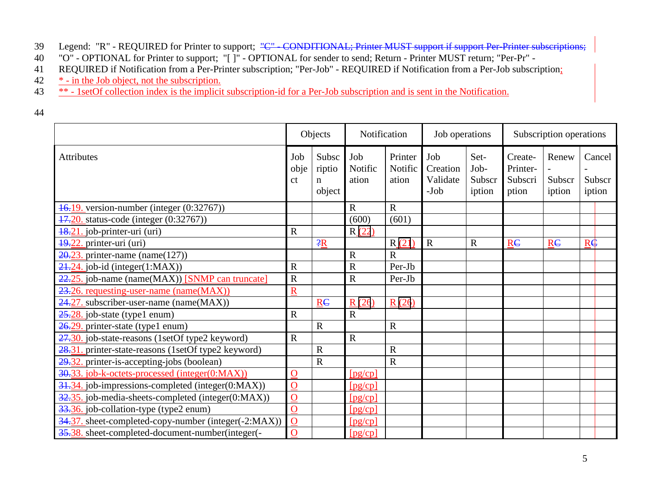- 39 Legend: "R" REQUIRED for Printer to support; <del>"C" CONDITIONAL; Printer MUST support if support Per-Printer subscriptions;</del>
- 40 "O" OPTIONAL for Printer to support; "[ ]" OPTIONAL for sender to send; Return Printer MUST return; "Per-Pr" -
- 41 REQUIRED if Notification from a Per-Printer subscription; "Per-Job" REQUIRED if Notification from a Per-Job subscription;
- 42  $\frac{*}{ }$  in the Job object, not the subscription.
- <sup>43</sup> \*\* 1setOf collection index is the implicit subscription-id for a Per-Job subscription and is sent in the Notification.
- 44

|                                                               | Objects                       |                                | Notification            |                             | Job operations                        |                                  | Subscription operations                 |                           |                            |
|---------------------------------------------------------------|-------------------------------|--------------------------------|-------------------------|-----------------------------|---------------------------------------|----------------------------------|-----------------------------------------|---------------------------|----------------------------|
| <b>Attributes</b>                                             | Job<br>obje<br><sub>c</sub> t | Subsc<br>riptio<br>n<br>object | Job<br>Notific<br>ation | Printer<br>Notific<br>ation | Job<br>Creation<br>Validate<br>$-Job$ | Set-<br>Job-<br>Subscr<br>iption | Create-<br>Printer-<br>Subscri<br>ption | Renew<br>Subscr<br>iption | Cancel<br>Subscr<br>iption |
| 16.19. version-number (integer (0:32767))                     |                               |                                | $\mathbf R$             | $\mathbf R$                 |                                       |                                  |                                         |                           |                            |
| 47.20. status-code (integer (0:32767))                        |                               |                                | (600)                   | (601)                       |                                       |                                  |                                         |                           |                            |
| $\frac{18.21}{100}$ job-printer-uri (uri)                     | $\mathbf R$                   |                                | R(22)                   |                             |                                       |                                  |                                         |                           |                            |
| 49.22. printer-uri (uri)                                      |                               | $-2R$                          |                         | R(21)                       | $\mathbf R$                           | $\mathbf R$                      | R <sub>C</sub>                          | R <sub>E</sub>            | $R\oplus$                  |
| $20.23$ , printer-name (name(127))                            |                               |                                | $\mathbf R$             | $\overline{R}$              |                                       |                                  |                                         |                           |                            |
| $24.24$ . job-id (integer(1:MAX))                             | $\mathbf R$                   |                                | $\mathbf R$             | Per-Jb                      |                                       |                                  |                                         |                           |                            |
| 22.25. job-name (name(MAX)) [SNMP can truncate]               | $\mathbf R$                   |                                | $\mathbf R$             | Per-Jb                      |                                       |                                  |                                         |                           |                            |
| 23.26. requesting-user-name (name(MAX))                       | $\underline{R}$               |                                |                         |                             |                                       |                                  |                                         |                           |                            |
| $24.27$ . subscriber-user-name (name(MAX))                    |                               | R <sub>C</sub>                 | R(26)                   | R(26)                       |                                       |                                  |                                         |                           |                            |
| $25.28$ . job-state (type1 enum)                              | $\mathbf R$                   |                                | $\mathbf R$             |                             |                                       |                                  |                                         |                           |                            |
| 26.29. printer-state (type1 enum)                             |                               | $\mathbf R$                    |                         | $\mathbf R$                 |                                       |                                  |                                         |                           |                            |
| 27.30. job-state-reasons (1setOf type2 keyword)               | $\mathbf R$                   |                                | $\mathbf R$             |                             |                                       |                                  |                                         |                           |                            |
| 28.31. printer-state-reasons (1setOf type2 keyword)           |                               | $\overline{R}$                 |                         | $\overline{R}$              |                                       |                                  |                                         |                           |                            |
| $29.32$ printer-is-accepting-jobs (boolean)                   |                               | $\mathbf R$                    |                         | $\mathbf R$                 |                                       |                                  |                                         |                           |                            |
| 30.33. job-k-octets-processed (integer(0:MAX))                | $\mathbf O$                   |                                | [pg/cp]                 |                             |                                       |                                  |                                         |                           |                            |
| 31.34. job-impressions-completed (integer(0:MAX))             | $\mathbf O$                   |                                | [pg/cp]                 |                             |                                       |                                  |                                         |                           |                            |
| $\frac{32.35}{2}$ job-media-sheets-completed (integer(0:MAX)) | $\mathbf{O}$                  |                                | [pg/cp]                 |                             |                                       |                                  |                                         |                           |                            |
| 33.36. job-collation-type (type2 enum)                        | $\overline{O}$                |                                | [pg/cp]                 |                             |                                       |                                  |                                         |                           |                            |
| 34.37. sheet-completed-copy-number (integer(-2:MAX))          | $\overline{O}$                |                                | [pg/cp]                 |                             |                                       |                                  |                                         |                           |                            |
| 35.38. sheet-completed-document-number(integer(-              | $\mathbf O$                   |                                | [pg/cp]                 |                             |                                       |                                  |                                         |                           |                            |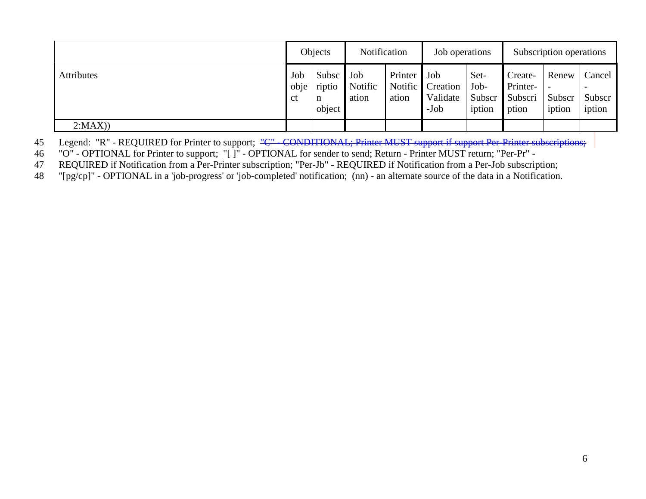|            | Objects                      |                                | Notification            |                  | Job operations                                |                                  | Subscription operations                 |                           |                            |
|------------|------------------------------|--------------------------------|-------------------------|------------------|-----------------------------------------------|----------------------------------|-----------------------------------------|---------------------------|----------------------------|
| Attributes | Job<br>obje<br><sub>ct</sub> | Subsc<br>riptio<br>n<br>object | Job<br>Notific<br>ation | Printer<br>ation | Job<br>Notific Creation<br>Validate<br>$-Job$ | Set-<br>Job-<br>Subscr<br>iption | Create-<br>Printer-<br>Subscri<br>ption | Renew<br>Subscr<br>iption | Cancel<br>Subscr<br>iption |
| 2:MAX)     |                              |                                |                         |                  |                                               |                                  |                                         |                           |                            |

45 Legend: "R" - REQUIRED for Printer to support; "C" - CONDITIONAL; Printer MUST support if support Per-Printer subscriptions;

46 "O" - OPTIONAL for Printer to support; "[ ]" - OPTIONAL for sender to send; Return - Printer MUST return; "Per-Pr" -<br>47 REQUIRED if Notification from a Per-Printer subscription; "Per-Jb" - REQUIRED if Notification from

REQUIRED if Notification from a Per-Printer subscription; "Per-Jb" - REQUIRED if Notification from a Per-Job subscription;

48 "[pg/cp]" - OPTIONAL in a 'job-progress' or 'job-completed' notification; (nn) - an alternate source of the data in a Notification.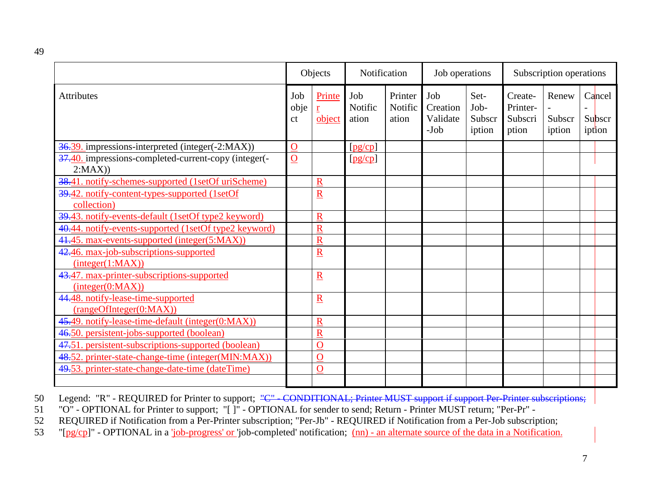|                                                                | Objects           |                                              | Notification            |                             | Job operations                        |                                  | Subscription operations                 |                           |  |                            |
|----------------------------------------------------------------|-------------------|----------------------------------------------|-------------------------|-----------------------------|---------------------------------------|----------------------------------|-----------------------------------------|---------------------------|--|----------------------------|
| <b>Attributes</b>                                              | Job<br>obje<br>ct | Printe<br>$\underline{\mathbf{r}}$<br>object | Job<br>Notific<br>ation | Printer<br>Notific<br>ation | Job<br>Creation<br>Validate<br>$-Job$ | Set-<br>Job-<br>Subscr<br>iption | Create-<br>Printer-<br>Subscri<br>ption | Renew<br>Subscr<br>iption |  | Cancel<br>Subscr<br>iption |
| 36.39. impressions-interpreted (integer(-2:MAX))               | $\mathbf O$       |                                              | [pg/cp]                 |                             |                                       |                                  |                                         |                           |  |                            |
| 37.40. impressions-completed-current-copy (integer(-<br>2:MAX) | $\overline{0}$    |                                              | [pg/cp]                 |                             |                                       |                                  |                                         |                           |  |                            |
| 38.41. notify-schemes-supported (1setOf uriScheme)             |                   | $\mathbf R$                                  |                         |                             |                                       |                                  |                                         |                           |  |                            |
| 39.42. notify-content-types-supported (1setOf<br>collection)   |                   | $\overline{\mathbf{R}}$                      |                         |                             |                                       |                                  |                                         |                           |  |                            |
| 39.43. notify-events-default (1setOf type2 keyword)            |                   | $\mathbf R$                                  |                         |                             |                                       |                                  |                                         |                           |  |                            |
| 40.44. notify-events-supported (1setOf type2 keyword)          |                   | $\overline{\text{R}}$                        |                         |                             |                                       |                                  |                                         |                           |  |                            |
| 41.45. max-events-supported (integer(5:MAX))                   |                   | $\mathbf R$                                  |                         |                             |                                       |                                  |                                         |                           |  |                            |
| 42.46. max-job-subscriptions-supported<br>interger(1:MAX))     |                   | $\overline{\mathbf{R}}$                      |                         |                             |                                       |                                  |                                         |                           |  |                            |
| 43.47. max-printer-subscriptions-supported<br>(integer(0:MAX)) |                   | $\underline{R}$                              |                         |                             |                                       |                                  |                                         |                           |  |                            |
| 44.48. notify-lease-time-supported<br>(rangeOfInteger(0:MAX))  |                   | $\underline{\mathbf{R}}$                     |                         |                             |                                       |                                  |                                         |                           |  |                            |
| 45.49. notify-lease-time-default (integer(0:MAX))              |                   | $\mathbf R$                                  |                         |                             |                                       |                                  |                                         |                           |  |                            |
| 46.50. persistent-jobs-supported (boolean)                     |                   | $\mathbf R$                                  |                         |                             |                                       |                                  |                                         |                           |  |                            |
| 47.51. persistent-subscriptions-supported (boolean)            |                   | $\overline{O}$                               |                         |                             |                                       |                                  |                                         |                           |  |                            |
| 48.52. printer-state-change-time (integer(MIN:MAX))            |                   | $\overline{O}$                               |                         |                             |                                       |                                  |                                         |                           |  |                            |
| 49.53. printer-state-change-date-time (dateTime)               |                   | $\overline{O}$                               |                         |                             |                                       |                                  |                                         |                           |  |                            |
|                                                                |                   |                                              |                         |                             |                                       |                                  |                                         |                           |  |                            |

- 50 Legend: "R" REQUIRED for Printer to support; "C" CONDITIONAL; Printer MUST support if support Per-Printer subscriptions;
- 51 "O" OPTIONAL for Printer to support; "[ ]" OPTIONAL for sender to send; Return Printer MUST return; "Per-Pr" -
- REQUIRED if Notification from a Per-Printer subscription; "Per-Jb" REQUIRED if Notification from a Per-Job subscription;
- 53 "[pg/cp]" OPTIONAL in a 'job-progress' or 'job-completed' notification; (nn) an alternate source of the data in a Notification.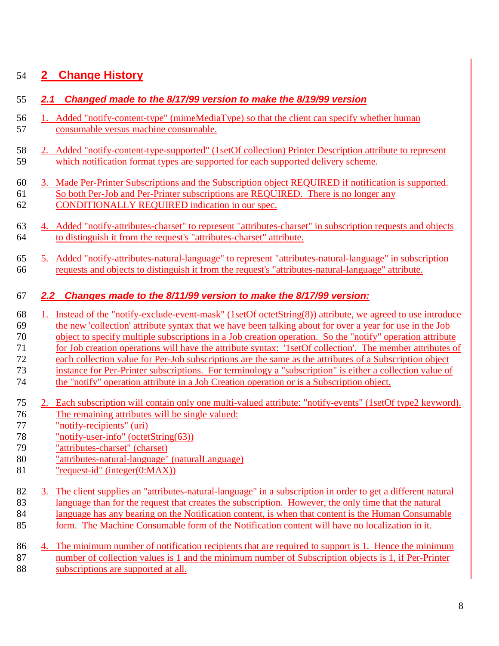# **2 Change History**

### *2.1 Changed made to the 8/17/99 version to make the 8/19/99 version*

- 1. Added "notify-content-type" (mimeMediaType) so that the client can specify whether human consumable versus machine consumable.
- 2. Added "notify-content-type-supported" (1setOf collection) Printer Description attribute to represent which notification format types are supported for each supported delivery scheme.
- 3. Made Per-Printer Subscriptions and the Subscription object REQUIRED if notification is supported. So both Per-Job and Per-Printer subscriptions are REQUIRED. There is no longer any CONDITIONALLY REQUIRED indication in our spec.
- 4. Added "notify-attributes-charset" to represent "attributes-charset" in subscription requests and objects to distinguish it from the request's "attributes-charset" attribute.
- 5. Added "notify-attributes-natural-language" to represent "attributes-natural-language" in subscription requests and objects to distinguish it from the request's "attributes-natural-language" attribute.

#### *2.2 Changes made to the 8/11/99 version to make the 8/17/99 version:*

- 1. Instead of the "notify-exclude-event-mask" (1setOf octetString(8)) attribute, we agreed to use introduce
- the new 'collection' attribute syntax that we have been talking about for over a year for use in the Job
- object to specify multiple subscriptions in a Job creation operation. So the "notify" operation attribute
- for Job creation operations will have the attribute syntax: '1setOf collection'. The member attributes of
- each collection value for Per-Job subscriptions are the same as the attributes of a Subscription object
- instance for Per-Printer subscriptions. For terminology a "subscription" is either a collection value of
- the "notify" operation attribute in a Job Creation operation or is a Subscription object.
- 2. Each subscription will contain only one multi-valued attribute: "notify-events" (1setOf type2 keyword). The remaining attributes will be single valued:
- "notify-recipients" (uri)
- "notify-user-info" (octetString(63))
- "attributes-charset" (charset)
- "attributes-natural-language" (naturalLanguage)
- "request-id" (integer(0:MAX))
- 3. The client supplies an "attributes-natural-language" in a subscription in order to get a different natural
- language than for the request that creates the subscription. However, the only time that the natural
- language has any bearing on the Notification content, is when that content is the Human Consumable
- form. The Machine Consumable form of the Notification content will have no localization in it.

|      | 86 4. The minimum number of notification recipients that are required to support is 1. Hence the minimum |
|------|----------------------------------------------------------------------------------------------------------|
| 87 - | number of collection values is 1 and the minimum number of Subscription objects is 1, if Per-Printer     |
| 88   | subscriptions are supported at all.                                                                      |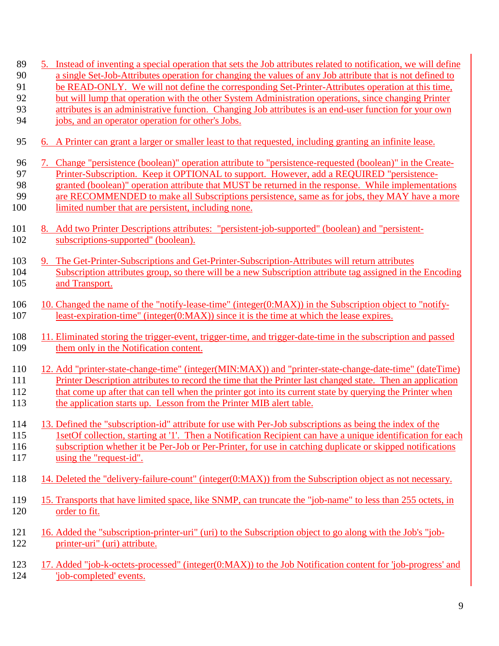- 5. Instead of inventing a special operation that sets the Job attributes related to notification, we will define a single Set-Job-Attributes operation for changing the values of any Job attribute that is not defined to
- be READ-ONLY. We will not define the corresponding Set-Printer-Attributes operation at this time,
- but will lump that operation with the other System Administration operations, since changing Printer
- attributes is an administrative function. Changing Job attributes is an end-user function for your own
- jobs, and an operator operation for other's Jobs.
- 6. A Printer can grant a larger or smaller least to that requested, including granting an infinite lease.
- 7. Change "persistence (boolean)" operation attribute to "persistence-requested (boolean)" in the Create-Printer-Subscription. Keep it OPTIONAL to support. However, add a REQUIRED "persistence-
- granted (boolean)" operation attribute that MUST be returned in the response. While implementations
- are RECOMMENDED to make all Subscriptions persistence, same as for jobs, they MAY have a more
- 100 limited number that are persistent, including none.
- 8. Add two Printer Descriptions attributes: "persistent-job-supported" (boolean) and "persistent-subscriptions-supported" (boolean).
- 9. The Get-Printer-Subscriptions and Get-Printer-Subscription-Attributes will return attributes Subscription attributes group, so there will be a new Subscription attribute tag assigned in the Encoding and Transport.
- 10. Changed the name of the "notify-lease-time" (integer(0:MAX)) in the Subscription object to "notify-least-expiration-time" (integer(0:MAX)) since it is the time at which the lease expires.
- 11. Eliminated storing the trigger-event, trigger-time, and trigger-date-time in the subscription and passed 109 them only in the Notification content.

 12. Add "printer-state-change-time" (integer(MIN:MAX)) and "printer-state-change-date-time" (dateTime) Printer Description attributes to record the time that the Printer last changed state. Then an application 112 that come up after that can tell when the printer got into its current state by querying the Printer when 113 the application starts up. Lesson from the Printer MIB alert table.

- 13. Defined the "subscription-id" attribute for use with Per-Job subscriptions as being the index of the 115 1setOf collection, starting at '1'. Then a Notification Recipient can have a unique identification for each subscription whether it be Per-Job or Per-Printer, for use in catching duplicate or skipped notifications using the "request-id".
- 14. Deleted the "delivery-failure-count" (integer(0:MAX)) from the Subscription object as not necessary.
- 15. Transports that have limited space, like SNMP, can truncate the "job-name" to less than 255 octets, in order to fit.
- 16. Added the "subscription-printer-uri" (uri) to the Subscription object to go along with the Job's "job-printer-uri" (uri) attribute.
- 17. Added "job-k-octets-processed" (integer(0:MAX)) to the Job Notification content for 'job-progress' and 'job-completed' events.